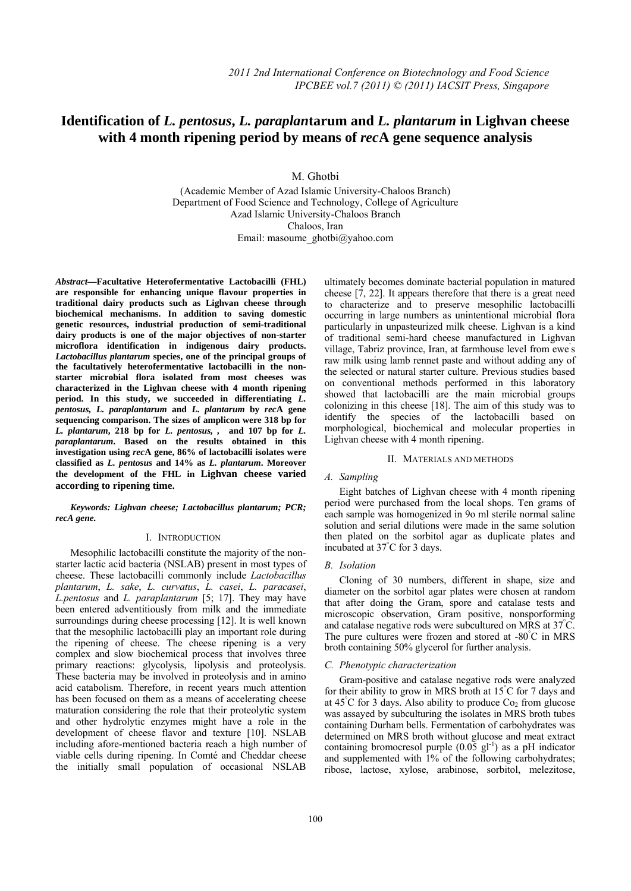# **Identification of** *L. pentosus***,** *L. paraplan***tarum and** *L. plantarum* **in Lighvan cheese**   **with 4 month ripening period by means of** *rec***A gene sequence analysis**

M. Ghotbi

(Academic Member of Azad Islamic University-Chaloos Branch) Department of Food Science and Technology, College of Agriculture Azad Islamic University-Chaloos Branch Chaloos, Iran Email: masoume\_ghotbi@yahoo.com

*Abstract***—Facultative Heterofermentative Lactobacilli (FHL) are responsible for enhancing unique flavour properties in traditional dairy products such as Lighvan cheese through biochemical mechanisms. In addition to saving domestic genetic resources, industrial production of semi-traditional dairy products is one of the major objectives of non-starter microflora identification in indigenous dairy products.**  *Lactobacillus plantarum* **species, one of the principal groups of the facultatively heterofermentative lactobacilli in the nonstarter microbial flora isolated from most cheeses was characterized in the Lighvan cheese with 4 month ripening period. In this study, we succeeded in differentiating** *L. pentosus, L. paraplantarum* **and** *L. plantarum* **by** *rec***A gene sequencing comparison. The sizes of amplicon were 318 bp for**  *L. plantarum***, 218 bp for** *L. pentosus, ,* **and 107 bp for** *L. paraplantarum***. Based on the results obtained in this investigation using** *rec***A gene, 86% of lactobacilli isolates were classified as** *L. pentosus* **and 14% as** *L. plantarum***. Moreover the development of the FHL in Lighvan cheese varied according to ripening time.** 

*Keywords: Lighvan cheese; Lactobacillus plantarum; PCR; recA gene.* 

#### I. INTRODUCTION

Mesophilic lactobacilli constitute the majority of the nonstarter lactic acid bacteria (NSLAB) present in most types of cheese. These lactobacilli commonly include *Lactobacillus plantarum*, *L. sake*, *L. curvatus*, *L. casei*, *L. paracasei*, *L.pentosus* and *L. paraplantarum* [5; 17]. They may have been entered adventitiously from milk and the immediate surroundings during cheese processing [12]. It is well known that the mesophilic lactobacilli play an important role during the ripening of cheese. The cheese ripening is a very complex and slow biochemical process that involves three primary reactions: glycolysis, lipolysis and proteolysis. These bacteria may be involved in proteolysis and in amino acid catabolism. Therefore, in recent years much attention has been focused on them as a means of accelerating cheese maturation considering the role that their proteolytic system and other hydrolytic enzymes might have a role in the development of cheese flavor and texture [10]. NSLAB including afore-mentioned bacteria reach a high number of viable cells during ripening. In Comté and Cheddar cheese the initially small population of occasional NSLAB

ultimately becomes dominate bacterial population in matured cheese [7, 22]. It appears therefore that there is a great need to characterize and to preserve mesophilic lactobacilli occurring in large numbers as unintentional microbial flora particularly in unpasteurized milk cheese. Lighvan is a kind of traditional semi-hard cheese manufactured in Lighvan village, Tabriz province, Iran, at farmhouse level from ewe' s raw milk using lamb rennet paste and without adding any of the selected or natural starter culture. Previous studies based on conventional methods performed in this laboratory showed that lactobacilli are the main microbial groups colonizing in this cheese [18]. The aim of this study was to identify the species of the lactobacilli based on morphological, biochemical and molecular properties in Lighvan cheese with 4 month ripening.

#### II. MATERIALS AND METHODS

#### *A. Sampling*

Eight batches of Lighvan cheese with 4 month ripening period were purchased from the local shops. Ten grams of each sample was homogenized in 9o ml sterile normal saline solution and serial dilutions were made in the same solution then plated on the sorbitol agar as duplicate plates and incubated at 37° C for 3 days.

#### *B. Isolation*

Cloning of 30 numbers, different in shape, size and diameter on the sorbitol agar plates were chosen at random that after doing the Gram, spore and catalase tests and microscopic observation, Gram positive, nonsporforming and catalase negative rods were subcultured on MRS at 37° C. The pure cultures were frozen and stored at -80°C in MRS broth containing 50% glycerol for further analysis.

#### *C. Phenotypic characterization*

Gram-positive and catalase negative rods were analyzed for their ability to grow in MRS broth at 15° C for 7 days and at  $45^{\circ}$ C for 3 days. Also ability to produce  $Co<sub>2</sub>$  from glucose was assayed by subculturing the isolates in MRS broth tubes containing Durham bells. Fermentation of carbohydrates was determined on MRS broth without glucose and meat extract containing bromocresol purple  $(0.05 \text{ g1}^{-1})$  as a pH indicator and supplemented with  $1\%$  of the following carbohydrates; ribose, lactose, xylose, arabinose, sorbitol, melezitose,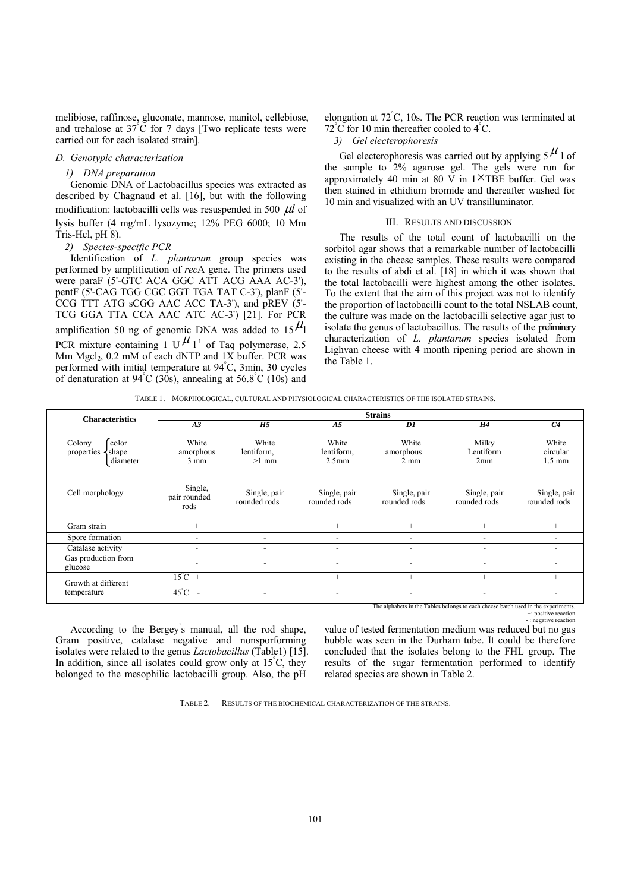melibiose, raffinose, gluconate, mannose, manitol, cellebiose, and trehalose at  $37^{\circ}$ C for 7 days [Two replicate tests were carried out for each isolated strain].

### *D. Genotypic characterization*

#### *1) DNA preparation*

Genomic DNA of Lactobacillus species was extracted as described by Chagnaud et al. [16], but with the following modification: lactobacilli cells was resuspended in 500 μ*l* of lysis buffer (4 mg/mL lysozyme; 12% PEG 6000; 10 Mm Tris-Hcl, pH 8).

## *2) Species-specific PCR*

Identification of *L. plantarum* group species was performed by amplification of *rec*A gene. The primers used were paraF (5'-GTC ACA GGC ATT ACG AAA AC-3'), pentF (5'-CAG TGG CGC GGT TGA TAT C-3'), planF (5'-CCG TTT ATG sCGG AAC ACC TA-3'), and pREV (5'- TCG GGA TTA CCA AAC ATC AC-3') [21]. For PCR amplification 50 ng of genomic DNA was added to  $15<sup>µ</sup>$ PCR mixture containing 1 U<sup>U</sup> l<sup>-1</sup> of Taq polymerase, 2.5 Mm  $Mgel<sub>2</sub>$ , 0.2 mM of each dNTP and  $1X$  buffer. PCR was performed with initial temperature at 94° C, 3min, 30 cycles of denaturation at  $94^{\circ}$ C (30s), annealing at 56.8 $^{\circ}$ C (10s) and elongation at 72° C, 10s. The PCR reaction was terminated at 72°C for 10 min thereafter cooled to 4°C.

#### *3) Gel electerophoresis*

Gel electerophoresis was carried out by applying  $5<sup>\mu</sup>$  l of the sample to 2% agarose gel. The gels were run for approximately 40 min at 80 V in  $1^{\times}$ TBE buffer. Gel was then stained in ethidium bromide and thereafter washed for 10 min and visualized with an UV transilluminator.

#### III. RESULTS AND DISCUSSION

The results of the total count of lactobacilli on the sorbitol agar shows that a remarkable number of lactobacilli existing in the cheese samples. These results were compared to the results of abdi et al. [18] in which it was shown that the total lactobacilli were highest among the other isolates. To the extent that the aim of this project was not to identify the proportion of lactobacilli count to the total NSLAB count, the culture was made on the lactobacilli selective agar just to isolate the genus of lactobacillus. The results of the preliminary characterization of *L. plantarum* species isolated from Lighvan cheese with 4 month ripening period are shown in the Table 1.

TABLE 1. MORPHOLOGICAL, CULTURAL AND PHYSIOLOGICAL CHARACTERISTICS OF THE ISOLATED STRAINS.

| <b>Characteristics</b>                             | <b>Strains</b>                             |                                                              |                                          |                                      |                              |                                       |  |  |  |  |
|----------------------------------------------------|--------------------------------------------|--------------------------------------------------------------|------------------------------------------|--------------------------------------|------------------------------|---------------------------------------|--|--|--|--|
|                                                    | A3                                         | H4                                                           | C <sub>4</sub>                           |                                      |                              |                                       |  |  |  |  |
| color<br>Colony<br>shape<br>properties<br>diameter | White<br>amorphous<br>$3 \text{ mm}$       | White<br>lentiform.<br>$>1$ mm                               | White<br>lentiform,<br>2.5 <sub>mm</sub> | White<br>amorphous<br>$2 \text{ mm}$ | Milky<br>Lentiform<br>2mm    | White<br>circular<br>$1.5 \text{ mm}$ |  |  |  |  |
| Cell morphology                                    | Single,<br>pair rounded<br>rods            | Single, pair<br>Single, pair<br>rounded rods<br>rounded rods |                                          | Single, pair<br>rounded rods         | Single, pair<br>rounded rods | Single, pair<br>rounded rods          |  |  |  |  |
| Gram strain                                        | $^{+}$                                     | $^{+}$                                                       | $^{+}$                                   | $^{+}$                               | $^{+}$                       | $+$                                   |  |  |  |  |
| Spore formation                                    | $\overline{\phantom{a}}$                   | ۰                                                            | $\overline{\phantom{a}}$                 | -                                    |                              |                                       |  |  |  |  |
| Catalase activity                                  |                                            | $\overline{\phantom{a}}$                                     |                                          |                                      |                              |                                       |  |  |  |  |
| Gas production from<br>glucose                     |                                            | ۰                                                            |                                          |                                      |                              |                                       |  |  |  |  |
| Growth at different<br>temperature                 | $15^{\circ}$ C +                           | $^{+}$                                                       | $^{+}$                                   | $^{+}$                               | $^{+}$                       | $^{+}$                                |  |  |  |  |
|                                                    | $45^{\circ}$ C<br>$\overline{\phantom{a}}$ | ۰                                                            | $\overline{\phantom{a}}$                 | $\overline{\phantom{a}}$             | ۰                            |                                       |  |  |  |  |

The alphabets in the Tables belongs to each cheese batch used in the experiments.

+: positive reaction - : negative reaction

According to the Bergey' s manual, all the rod shape, Gram positive, catalase negative and nonsporforming isolates were related to the genus *Lactobacillus* (Table1) [15]. In addition, since all isolates could grow only at 15°C, they belonged to the mesophilic lactobacilli group. Also, the pH

value of tested fermentation medium was reduced but no gas bubble was seen in the Durham tube. It could be therefore concluded that the isolates belong to the FHL group. The results of the sugar fermentation performed to identify related species are shown in Table 2.

TABLE 2. RESULTS OF THE BIOCHEMICAL CHARACTERIZATION OF THE STRAINS.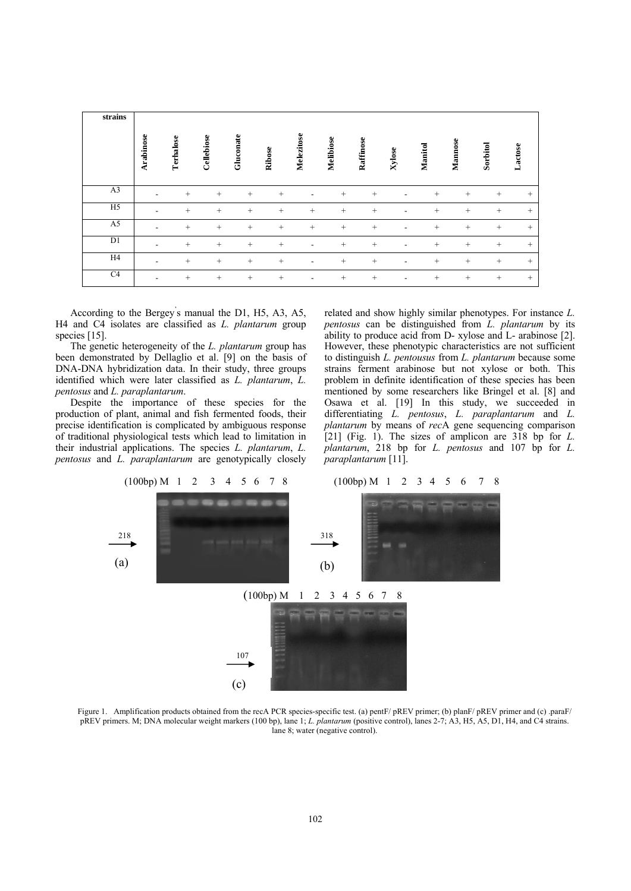| strains        | Arabinose                | Terhalose       | Cellebiose | Gluconate | Ribose | Melezitose | Melibiose | Raffinose       | Xylose         | Manitol         | Mannose | Sorbitol        | Lactose |
|----------------|--------------------------|-----------------|------------|-----------|--------|------------|-----------|-----------------|----------------|-----------------|---------|-----------------|---------|
| A <sub>3</sub> | ۰                        | $\! + \!\!\!\!$ | $^{+}$     | $+$       | $+$    |            | $^{+}$    | $+$             | ۰              | $\! + \!\!\!\!$ | $^{+}$  | $^{+}$          | $^{+}$  |
| H <sub>5</sub> | $\overline{\phantom{0}}$ | $+$             | $^{+}$     | $+$       | $^{+}$ | $^{+}$     | $+$       | $\! + \!\!\!\!$ | ۰              | $^{+}$          | $^{+}$  | $^{+}$          | $+$     |
| A <sub>5</sub> | $\overline{\phantom{0}}$ | $\! + \!\!\!\!$ | $^{+}$     | $+$       | $^{+}$ | $^{+}$     | $+$       | $+$             | $\blacksquare$ | $\! + \!\!\!\!$ | $^{+}$  | $^{+}$          | $+$     |
| D1             | $\overline{\phantom{0}}$ | $^{+}$          | $^{+}$     | $+$       | $^{+}$ | -          | $+$       | $^{+}$          | ۰              | $^{+}$          | $^{+}$  | $^{+}$          | $+$     |
| H <sub>4</sub> | $\overline{\phantom{0}}$ | $\! + \!\!\!\!$ | $^{+}$     | $+$       | $+$    | ۰          | $+$       | $+$             | $\blacksquare$ | $\! + \!\!\!\!$ | $^{+}$  | $^{+}$          | $+$     |
| C <sub>4</sub> | $\overline{\phantom{0}}$ | $^{+}$          | $^{+}$     | $+$       | $^{+}$ | ٠          | $+$       | $^{+}$          | $\blacksquare$ | $\! + \!\!\!\!$ | $^{+}$  | $\! + \!\!\!\!$ | $+$     |

According to the Bergey' s manual the D1, H5, A3, A5, H4 and C4 isolates are classified as *L. plantarum* group species [15].

The genetic heterogeneity of the *L. plantarum* group has been demonstrated by Dellaglio et al. [9] on the basis of DNA-DNA hybridization data. In their study, three groups identified which were later classified as *L. plantarum*, *L. pentosus* and *L. paraplantarum*.

Despite the importance of these species for the production of plant, animal and fish fermented foods, their precise identification is complicated by ambiguous response of traditional physiological tests which lead to limitation in their industrial applications. The species *L. plantarum*, *L. pentosus* and *L. paraplantarum* are genotypically closely related and show highly similar phenotypes. For instance *L. pentosus* can be distinguished from *L. plantarum* by its ability to produce acid from D- xylose and L- arabinose [2]. However, these phenotypic characteristics are not sufficient to distinguish *L. pentousus* from *L. plantarum* because some strains ferment arabinose but not xylose or both. This problem in definite identification of these species has been mentioned by some researchers like Bringel et al. [8] and Osawa et al. [19] In this study, we succeeded in differentiating *L. pentosus*, *L. paraplantarum* and *L. plantarum* by means of *rec*A gene sequencing comparison [21] (Fig. 1). The sizes of amplicon are 318 bp for *L. plantarum*, 218 bp for *L. pentosus* and 107 bp for *L. paraplantarum* [11].



Figure 1. Amplification products obtained from the recA PCR species-specific test. (a) pentF/ pREV primer; (b) planF/ pREV primer and (c) .paraF/ pREV primers. M; DNA molecular weight markers (100 bp), lane 1; *L. plantarum* (positive control), lanes 2-7; A3, H5, A5, D1, H4, and C4 strains. lane 8; water (negative control).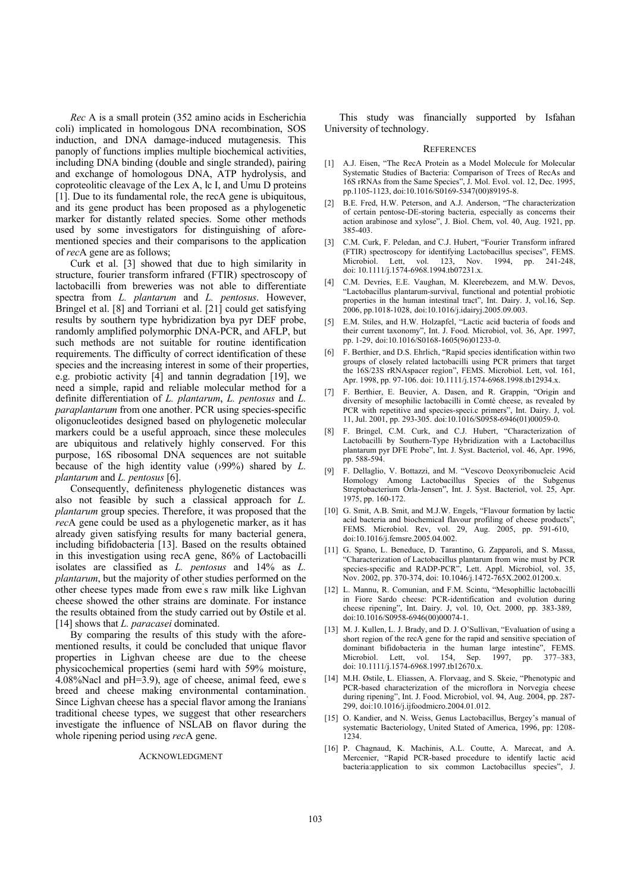Rec A is a small protein (352 amino acids in Escherichia coli) implicated in homologous DNA recombination, SOS induction, and DNA damage-induced mutagenesis. This panoply of functions implies multiple biochemical activities, including DNA binding (double and single stranded), pairing and exchange of homologous DNA, ATP hydrolysis, and coproteolitic cleavage of the Lex A, lc I, and Umu D proteins [1]. Due to its fundamental role, the recA gene is ubiquitous, and its gene product has been proposed as a phylogenetic marker for distantly related species. Some other methods used by some investigators for distinguishing of aforementioned species and their comparisons to the application of recA gene are as follows:

Curk et al. [3] showed that due to high similarity in structure, fourier transform infrared (FTIR) spectroscopy of lactobacilli from breweries was not able to differentiate spectra from L. plantarum and L. pentosus. However, Bringel et al. [8] and Torriani et al. [21] could get satisfying results by southern type hybridization by apyr DEF probe, randomly amplified polymorphic DNA-PCR, and AFLP, but such methods are not suitable for routine identification requirements. The difficulty of correct identification of these species and the increasing interest in some of their properties, e.g. probiotic activity [4] and tannin degradation [19], we need a simple, rapid and reliable molecular method for a definite differentiation of L. plantarum, L. pentosus and L. *paraplantarum* from one another. PCR using species-specific oligonucleotides designed based on phylogenetic molecular markers could be a useful approach, since these molecules are ubiquitous and relatively highly conserved. For this purpose, 16S ribosomal DNA sequences are not suitable because of the high identity value  $(99\%)$  shared by L. plantarum and  $L$ . pentosus [6].

Consequently, definiteness phylogenetic distances was also not feasible by such a classical approach for  $L$ . *plantarum* group species. Therefore, it was proposed that the recA gene could be used as a phylogenetic marker, as it has already given satisfying results for many bacterial genera, including bifidobacteria [13]. Based on the results obtained in this investigation using recA gene, 86% of Lactobacilli isolates are classified as  $L$ , *pentosus* and  $14\%$  as  $L$ . *plantarum*, but the majority of other studies performed on the other cheese types made from ewe's raw milk like Lighvan cheese showed the other strains are dominate. For instance the results obtained from the study carried out by Østile et al. [14] shows that *L. paracasei* dominated.

By comparing the results of this study with the aforementioned results, it could be concluded that unique flavor properties in Lighvan cheese are due to the cheese physicochemical properties (semi hard with 59% moisture,  $4.08\%$ Nacl and pH=3.9), age of cheese, animal feed, ewe's breed and cheese making environmental contamination. Since Lighvan cheese has a special flavor among the Iranians traditional cheese types, we suggest that other researchers investigate the influence of NSLAB on flavor during the whole ripening period using recA gene.

#### **ACKNOWLEDGMENT**

This study was financially supported by Isfahan University of technology.

#### **REFERENCES**

- [1] A.J. Eisen, "The RecA Protein as a Model Molecule for Molecular Systematic Studies of Bacteria: Comparison of Trees of RecAs and 16S rRNAs from the Same Species", J. Mol. Evol. vol. 12, Dec. 1995. pp.1105-1123, doi:10.1016/S0169-5347(00)89195-8.
- B.E. Fred, H.W. Peterson, and A.J. Anderson, "The characterization  $\lceil 2 \rceil$ of certain pentose-DE-storing bacteria, especially as concerns their action arabinose and xylose", J. Biol. Chem, vol. 40, Aug. 1921, pp. 385-403
- [3] C.M. Curk, F. Peledan, and C.J. Hubert, "Fourier Transform infrared (FTIR) spectroscopy for identifying Lactobacillus specises", FEMS. Microbiol. Lett. vol.  $123$ , Nov. 1994, pp. 241-248. doi: 10.1111/j.1574-6968.1994.tb07231.x.
- [4] C.M. Devries, E.E. Vaughan, M. Kleerebezem, and M.W. Devos, 'Lactobacillus plantarum-survival, functional and potential probiotic properties in the human intestinal tract". Int. Dairy, J. vol.16. Sep. 2006, pp.1018-1028, doi:10.1016/j.idairyj.2005.09.003.
- [5] E.M. Stiles, and H.W. Holzapfel, "Lactic acid bacteria of foods and their current taxonomy", Int. J. Food. Microbiol, vol. 36, Apr. 1997, pp. 1-29, doi:10.1016/S0168-1605(96)01233-0.
- [6] F. Berthier, and D.S. Ehrlich, "Rapid species identification within two groups of closely related lactobacilli using PCR primers that target the 16S/23S rRNAspacer region", FEMS. Microbiol. Lett, vol. 161, Apr. 1998, pp. 97-106. doi: 10.1111/j.1574-6968.1998.tb12934.x.
- F. Berthier, E. Beuvier, A. Dasen, and R. Grappin, "Origin and  $[7]$ diversity of mesophilic lactobacilli in Comté cheese, as revealed by PCR with repetitive and species-speci.c primers", Int. Dairy. J, vol. 11, Jul. 2001, pp. 293-305. doi:10.1016/S0958-6946(01)00059-0.
- [8] F. Bringel, C.M. Curk, and C.J. Hubert, "Characterization of Lactobacilli by Southern-Type Hybridization with a Lactobacillus plantarum pyr DFE Probe", Int. J. Syst. Bacteriol, vol. 46, Apr. 1996, pp. 588-594.
- [9] F. Dellaglio, V. Bottazzi, and M. "Vescovo Deoxyribonucleic Acid Homology Among Lactobacillus Species of the Subgenus Streptobacterium Orla-Jensen", Int. J. Syst. Bacteriol, vol. 25, Apr. 1975, pp. 160-172.
- [10] G. Smit, A.B. Smit, and M.J.W. Engels, "Flavour formation by lactic acid bacteria and biochemical flavour profiling of cheese products", FEMS. Microbiol. Rev, vol. 29, Aug. 2005, pp. 591-610, doi:10.1016/j.femsre.2005.04.002.
- [11] G. Spano, L. Beneduce, D. Tarantino, G. Zapparoli, and S. Massa, "Characterization of Lactobacillus plantarum from wine must by PCR species-specific and RADP-PCR", Lett. Appl. Microbiol, vol. 35, Nov. 2002, pp. 370-374, doi: 10.1046/j.1472-765X.2002.01200.x.
- [12] L. Mannu, R. Comunian, and F.M. Scintu, "Mesophillic lactobacilli in Fiore Sardo cheese: PCR-identification and evolution during cheese ripening", Int. Dairy. J, vol. 10, Oct. 2000, pp. 383-389, doi:10.1016/S0958-6946(00)00074-1.
- [13] M. J. Kullen, L. J. Brady, and D. J. O'Sullivan, "Evaluation of using a short region of the recA gene for the rapid and sensitive speciation of dominant bifidobacteria in the human large intestine", FEMS.<br>Microbiol. Lett, vol. 154, Sep. 1997, pp. 377-383, doi: 10.1111/j.1574-6968.1997.tb12670.x.
- [14] M.H. Østile, L. Eliassen, A. Florvaag, and S. Skeie, "Phenotypic and PCR-based characterization of the microflora in Norvegia cheese during ripening", Int. J. Food. Microbiol, vol. 94, Aug. 2004, pp. 287-299, doi:10.1016/j.ijfoodmicro.2004.01.012.
- [15] O. Kandier, and N. Weiss, Genus Lactobacillus, Bergey's manual of systematic Bacteriology, United Stated of America, 1996, pp. 1208-1234.
- [16] P. Chagnaud, K. Machinis, A.L. Coutte, A. Marecat, and A. Mercenier, "Rapid PCR-based procedure to identify lactic acid bacteria:application to six common Lactobacillus species", J.